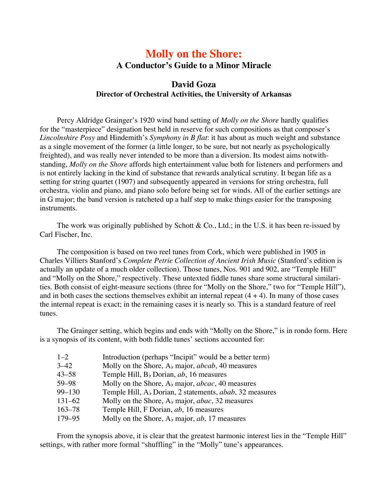## **Molly on the Shore: A Conductor's Guide to a Minor Miracle**

## **David Goza Director of Orchestral Activities, the University of Arkansas**

Percy Aldridge Grainger's 1920 wind band setting of *Molly on the Shore* hardly qualifies for the "masterpiece" designation best held in reserve for such compositions as that composer's *Lincolnshire Posy* and Hindemith's *Symphony in B flat*: it has about as much weight and substance as a single movement of the former (a little longer, to be sure, but not nearly as psychologically freighted), and was really never intended to be more than a diversion. Its modest aims notwithstanding, *Molly on the Shore* affords high entertainment value both for listeners and performers and is not entirely lacking in the kind of substance that rewards analytical scrutiny. It began life as a setting for string quartet (1907) and subsequently appeared in versions for string orchestra, full orchestra, violin and piano, and piano solo before being set for winds. All of the earlier settings are in G major; the band version is ratcheted up a half step to make things easier for the transposing instruments.

The work was originally published by Schott & Co., Ltd.; in the U.S. it has been re-issued by Carl Fischer, Inc.

The composition is based on two reel tunes from Cork, which were published in 1905 in Charles Villiers Stanford's *Complete Petrie Collection of Ancient Irish Music* (Stanford's edition is actually an update of a much older collection). Those tunes, Nos. 901 and 902, are "Temple Hill" and "Molly on the Shore," respectively. These untexted fiddle tunes share some structural similarities. Both consist of eight-measure sections (three for "Molly on the Shore," two for "Temple Hill"), and in both cases the sections themselves exhibit an internal repeat  $(4 + 4)$ . In many of those cases the internal repeat is exact; in the remaining cases it is nearly so. This is a standard feature of reel tunes.

The Grainger setting, which begins and ends with "Molly on the Shore," is in rondo form. Here is a synopsis of its content, with both fiddle tunes' sections accounted for:

| $1 - 2$    | Introduction (perhaps "Incipit" would be a better term)                     |
|------------|-----------------------------------------------------------------------------|
| $3 - 42$   | Molly on the Shore, $A_b$ major, <i>abcab</i> , 40 measures                 |
| $43 - 58$  | Temple Hill, B <sub>b</sub> Dorian, ab, 16 measures                         |
| 59–98      | Molly on the Shore, $A_b$ major, <i>abcac</i> , 40 measures                 |
| $99 - 130$ | Temple Hill, A <sub>b</sub> Dorian, 2 statements, <i>abab</i> , 32 measures |
| $131 - 62$ | Molly on the Shore, $A_b$ major, <i>abac</i> , 32 measures                  |
| $163 - 78$ | Temple Hill, F Dorian, ab, 16 measures                                      |
| 179-95     | Molly on the Shore, $A_b$ major, ab, 17 measures                            |

From the synopsis above, it is clear that the greatest harmonic interest lies in the "Temple Hill" settings, with rather more formal "shuffling" in the "Molly" tune's appearances.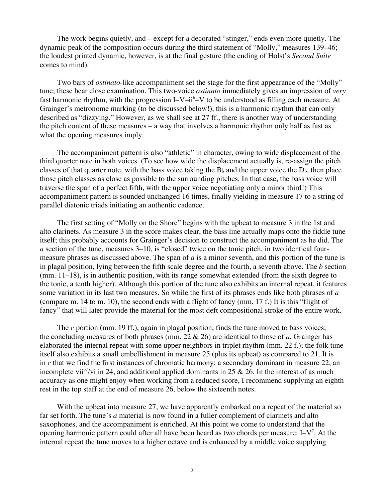The work begins quietly, and – except for a decorated "stinger," ends even more quietly. The dynamic peak of the composition occurs during the third statement of "Molly," measures 139–46; the loudest printed dynamic, however, is at the final gesture (the ending of Holst's *Second Suite* comes to mind).

Two bars of *ostinato*-like accompaniment set the stage for the first appearance of the "Molly" tune; these bear close examination. This two-voice *ostinato* immediately gives an impression of *very* fast harmonic rhythm, with the progression I–V–ii<sup>6</sup>–V to be understood as filling each measure. At Grainger's metronome marking (to be discussed below!), this is a harmonic rhythm that can only described as "dizzying." However, as we shall see at 27 ff., there is another way of understanding the pitch content of these measures – a way that involves a harmonic rhythm only half as fast as what the opening measures imply.

The accompaniment pattern is also "athletic" in character, owing to wide displacement of the third quarter note in both voices. (To see how wide the displacement actually is, re-assign the pitch classes of that quarter note, with the bass voice taking the  $B<sub>b</sub>$  and the upper voice the  $D<sub>b</sub>$ , then place those pitch classes as close as possible to the surrounding pitches. In that case, the bass voice will traverse the span of a perfect fifth, with the upper voice negotiating only a minor third!) This accompaniment pattern is sounded unchanged 16 times, finally yielding in measure 17 to a string of parallel diatonic triads initiating an authentic cadence.

The first setting of "Molly on the Shore" begins with the upbeat to measure 3 in the 1st and alto clarinets. As measure 3 in the score makes clear, the bass line actually maps onto the fiddle tune itself; this probably accounts for Grainger's decision to construct the accompaniment as he did. The *a* section of the tune, measures 3–10, is "closed" twice on the tonic pitch, in two identical fourmeasure phrases as discussed above. The span of *a* is a minor seventh, and this portion of the tune is in plagal position, lying between the fifth scale degree and the fourth, a seventh above. The *b* section (mm. 11–18), is in authentic position, with its range somewhat extended (from the sixth degree to the tonic, a tenth higher). Although this portion of the tune also exhibits an internal repeat, it features some variation in its last two measures. So while the first of its phrases ends like both phrases of *a* (compare m. 14 to m. 10), the second ends with a flight of fancy (mm. 17 f.) It is this "flight of fancy" that will later provide the material for the most deft compositional stroke of the entire work.

The *c* portion (mm. 19 ff.), again in plagal position, finds the tune moved to bass voices; the concluding measures of both phrases (mm. 22 & 26) are identical to those of *a*. Grainger has elaborated the internal repeat with some upper neighbors in triplet rhythm (mm. 22 f.); the folk tune itself also exhibits a small embellishment in measure 25 (plus its upbeat) as compared to 21. It is in *c* that we find the first instances of chromatic harmony: a secondary dominant in measure 22, an incomplete vii<sup>o7</sup>/vi in 24, and additional applied dominants in 25 & 26. In the interest of as much accuracy as one might enjoy when working from a reduced score, I recommend supplying an eighth rest in the top staff at the end of measure 26, below the sixteenth notes.

With the upbeat into measure 27, we have apparently embarked on a repeat of the material so far set forth. The tune's *a* material is now found in a fuller complement of clarinets and alto saxophones, and the accompaniment is enriched. At this point we come to understand that the opening harmonic pattern could after all have been heard as two chords per measure:  $I - V^7$ . At the internal repeat the tune moves to a higher octave and is enhanced by a middle voice supplying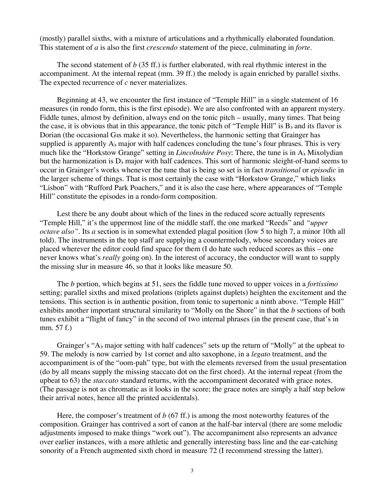(mostly) parallel sixths, with a mixture of articulations and a rhythmically elaborated foundation. This statement of *a* is also the first *crescendo* statement of the piece, culminating in *forte*.

The second statement of *b* (35 ff.) is further elaborated, with real rhythmic interest in the accompaniment. At the internal repeat (mm. 39 ff.) the melody is again enriched by parallel sixths. The expected recurrence of *c* never materializes.

Beginning at 43, we encounter the first instance of "Temple Hill" in a single statement of 16 measures (in rondo form, this is the first episode). We are also confronted with an apparent mystery. Fiddle tunes, almost by definition, always end on the tonic pitch – usually, many times. That being the case, it is obvious that in this appearance, the tonic pitch of "Temple Hill" is  $B<sub>b</sub>$  and its flavor is Dorian (the occasional  $G<sub>5</sub>$  make it so). Nevertheless, the harmonic setting that Grainger has supplied is apparently  $A_{\flat}$  major with half cadences concluding the tune's four phrases. This is very much like the "Horkstow Grange" setting in *Lincolnshire Posy*: There, the tune is in A<sub>b</sub> Mixolydian but the harmonization is  $D_{\rm b}$  major with half cadences. This sort of harmonic sleight-of-hand seems to occur in Grainger's works whenever the tune that is being so set is in fact *transitional* or *episodic* in the larger scheme of things. That is most certainly the case with "Horkstow Grange," which links "Lisbon" with "Rufford Park Poachers," and it is also the case here, where appearances of "Temple Hill" constitute the episodes in a rondo-form composition.

Lest there be any doubt about which of the lines in the reduced score actually represents "Temple Hill," it's the uppermost line of the middle staff, the one marked "Reeds" and *"upper octave also"*. Its *a* section is in somewhat extended plagal position (low 5 to high 7, a minor 10th all told). The instruments in the top staff are supplying a countermelody, whose secondary voices are placed wherever the editor could find space for them (I do hate such reduced scores as this – one never knows what's *really* going on). In the interest of accuracy, the conductor will want to supply the missing slur in measure 46, so that it looks like measure 50.

The *b* portion, which begins at 51, sees the fiddle tune moved to upper voices in a *fortissimo* setting; parallel sixths and mixed prolations (triplets against duplets) heighten the excitement and the tensions. This section is in authentic position, from tonic to supertonic a ninth above. "Temple Hill" exhibits another important structural similarity to "Molly on the Shore" in that the *b* sections of both tunes exhibit a "flight of fancy" in the second of two internal phrases (in the present case, that's in mm. 57 f.)

Grainger's " $A<sub>b</sub>$  major setting with half cadences" sets up the return of "Molly" at the upbeat to 59. The melody is now carried by 1st cornet and alto saxophone, in a *legato* treatment, and the accompaniment is of the "oom-pah" type, but with the elements reversed from the usual presentation (do by all means supply the missing staccato dot on the first chord). At the internal repeat (from the upbeat to 63) the *staccato* standard returns, with the accompaniment decorated with grace notes. (The passage is not as chromatic as it looks in the score; the grace notes are simply a half step below their arrival notes, hence all the printed accidentals).

Here, the composer's treatment of *b* (67 ff.) is among the most noteworthy features of the composition. Grainger has contrived a sort of canon at the half-bar interval (there are some melodic adjustments imposed to make things "work out"). The accompaniment also represents an advance over earlier instances, with a more athletic and generally interesting bass line and the ear-catching sonority of a French augmented sixth chord in measure 72 (I recommend stressing the latter).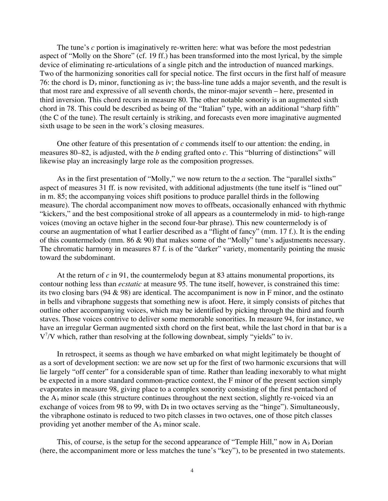The tune's *c* portion is imaginatively re-written here: what was before the most pedestrian aspect of "Molly on the Shore" (cf. 19 ff.) has been transformed into the most lyrical, by the simple device of eliminating re-articulations of a single pitch and the introduction of nuanced markings. Two of the harmonizing sonorities call for special notice. The first occurs in the first half of measure 76: the chord is  $D<sub>b</sub>$  minor, functioning as iv; the bass-line tune adds a major seventh, and the result is that most rare and expressive of all seventh chords, the minor-major seventh – here, presented in third inversion. This chord recurs in measure 80. The other notable sonority is an augmented sixth chord in 78. This could be described as being of the "Italian" type, with an additional "sharp fifth" (the C of the tune). The result certainly is striking, and forecasts even more imaginative augmented sixth usage to be seen in the work's closing measures.

One other feature of this presentation of *c* commends itself to our attention: the ending, in measures 80–82, is adjusted, with the *b* ending grafted onto *c*. This "blurring of distinctions" will likewise play an increasingly large role as the composition progresses.

As in the first presentation of "Molly," we now return to the *a* section. The "parallel sixths" aspect of measures 31 ff. is now revisited, with additional adjustments (the tune itself is "lined out" in m. 85; the accompanying voices shift positions to produce parallel thirds in the following measure). The chordal accompaniment now moves to offbeats, occasionally enhanced with rhythmic "kickers," and the best compositional stroke of all appears as a countermelody in mid- to high-range voices (moving an octave higher in the second four-bar phrase). This new countermelody is of course an augmentation of what I earlier described as a "flight of fancy" (mm. 17 f.). It is the ending of this countermelody (mm. 86 & 90) that makes some of the "Molly" tune's adjustments necessary. The chromatic harmony in measures 87 f. is of the "darker" variety, momentarily pointing the music toward the subdominant.

At the return of *c* in 91, the countermelody begun at 83 attains monumental proportions, its contour nothing less than *ecstatic* at measure 95. The tune itself, however, is constrained this time: its two closing bars (94  $\&$  98) are identical. The accompaniment is now in F minor, and the ostinato in bells and vibraphone suggests that something new is afoot. Here, it simply consists of pitches that outline other accompanying voices, which may be identified by picking through the third and fourth staves. Those voices contrive to deliver some memorable sonorities. In measure 94, for instance, we have an irregular German augmented sixth chord on the first beat, while the last chord in that bar is a V<sup>7</sup>/V which, rather than resolving at the following downbeat, simply "yields" to iv.

In retrospect, it seems as though we have embarked on what might legitimately be thought of as a sort of development section: we are now set up for the first of two harmonic excursions that will lie largely "off center" for a considerable span of time. Rather than leading inexorably to what might be expected in a more standard common-practice context, the F minor of the present section simply evaporates in measure 98, giving place to a complex sonority consisting of the first pentachord of the  $A<sub>b</sub>$  minor scale (this structure continues throughout the next section, slightly re-voiced via an exchange of voices from 98 to 99, with  $D_1$  in two octaves serving as the "hinge"). Simultaneously, the vibraphone ostinato is reduced to two pitch classes in two octaves, one of those pitch classes providing yet another member of the  $A<sub>b</sub>$  minor scale.

This, of course, is the setup for the second appearance of "Temple Hill," now in  $A<sub>b</sub>$  Dorian (here, the accompaniment more or less matches the tune's "key"), to be presented in two statements.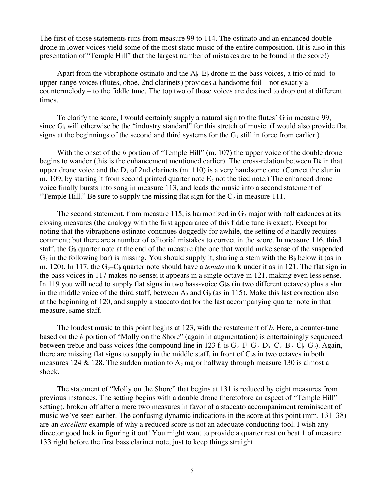The first of those statements runs from measure 99 to 114. The ostinato and an enhanced double drone in lower voices yield some of the most static music of the entire composition. (It is also in this presentation of "Temple Hill" that the largest number of mistakes are to be found in the score!)

Apart from the vibraphone ostinato and the  $A \rightarrow E$  drone in the bass voices, a trio of mid- to upper-range voices (flutes, oboe, 2nd clarinets) provides a handsome foil – not exactly a countermelody – to the fiddle tune. The top two of those voices are destined to drop out at different times.

To clarify the score, I would certainly supply a natural sign to the flutes' G in measure 99, since  $G<sub>b</sub>$  will otherwise be the "industry standard" for this stretch of music. (I would also provide flat signs at the beginnings of the second and third systems for the  $G<sub>b</sub>$  still in force from earlier.)

With the onset of the *b* portion of "Temple Hill" (m. 107) the upper voice of the double drone begins to wander (this is the enhancement mentioned earlier). The cross-relation between  $D_{\frac{1}{2}}$  in that upper drone voice and the  $D<sub>b</sub>$  of 2nd clarinets (m. 110) is a very handsome one. (Correct the slur in m. 109, by starting it from second printed quarter note  $E_{\flat}$  not the tied note.) The enhanced drone voice finally bursts into song in measure 113, and leads the music into a second statement of "Temple Hill." Be sure to supply the missing flat sign for the  $C_{\flat}$  in measure 111.

The second statement, from measure 115, is harmonized in  $G<sub>b</sub>$  major with half cadences at its closing measures (the analogy with the first appearance of this fiddle tune is exact). Except for noting that the vibraphone ostinato continues doggedly for awhile, the setting of *a* hardly requires comment; but there are a number of editorial mistakes to correct in the score. In measure 116, third staff, the  $G_{\flat}$  quarter note at the end of the measure (the one that would make sense of the suspended  $G<sub>b</sub>$  in the following bar) is missing. You should supply it, sharing a stem with the  $B<sub>b</sub>$  below it (as in m. 120). In 117, the  $G_{\nu}$ -C<sub>b</sub> quarter note should have a *tenuto* mark under it as in 121. The flat sign in the bass voices in 117 makes no sense; it appears in a single octave in 121, making even less sense. In 119 you will need to supply flat signs in two bass-voice  $G<sub>b</sub>$  (in two different octaves) plus a slur in the middle voice of the third staff, between  $A<sub>b</sub>$  and  $G<sub>b</sub>$  (as in 115). Make this last correction also at the beginning of 120, and supply a staccato dot for the last accompanying quarter note in that measure, same staff.

The loudest music to this point begins at 123, with the restatement of *b*. Here, a counter-tune based on the *b* portion of "Molly on the Shore" (again in augmentation) is entertainingly sequenced between treble and bass voices (the compound line in 123 f. is  $G_{\mathfrak{b}}-F-G_{\mathfrak{b}}-D_{\mathfrak{b}}-C_{\mathfrak{b}}-G_{\mathfrak{b}}$ ). Again, there are missing flat signs to supply in the middle staff, in front of  $C_{\beta}$  in two octaves in both measures 124 & 128. The sudden motion to  $A<sub>b</sub>$  major halfway through measure 130 is almost a shock.

The statement of "Molly on the Shore" that begins at 131 is reduced by eight measures from previous instances. The setting begins with a double drone (heretofore an aspect of "Temple Hill" setting), broken off after a mere two measures in favor of a staccato accompaniment reminiscent of music we've seen earlier. The confusing dynamic indications in the score at this point (mm. 131–38) are an *excellent* example of why a reduced score is not an adequate conducting tool. I wish any director good luck in figuring it out! You might want to provide a quarter rest on beat 1 of measure 133 right before the first bass clarinet note, just to keep things straight.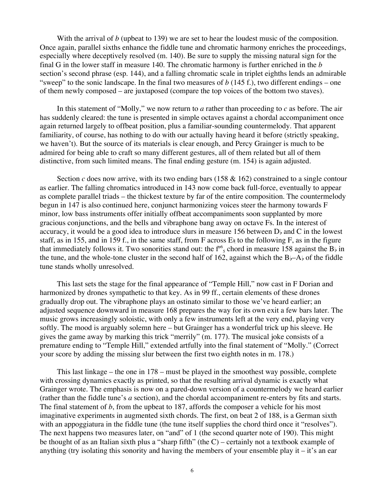With the arrival of *b* (upbeat to 139) we are set to hear the loudest music of the composition. Once again, parallel sixths enhance the fiddle tune and chromatic harmony enriches the proceedings, especially where deceptively resolved (m. 140). Be sure to supply the missing natural sign for the final G in the lower staff in measure 140. The chromatic harmony is further enriched in the *b* section's second phrase (esp. 144), and a falling chromatic scale in triplet eighths lends an admirable "sweep" to the sonic landscape. In the final two measures of  $b$  (145 f.), two different endings – one of them newly composed – are juxtaposed (compare the top voices of the bottom two staves).

In this statement of "Molly," we now return to *a* rather than proceeding to *c* as before. The air has suddenly cleared: the tune is presented in simple octaves against a chordal accompaniment once again returned largely to offbeat position, plus a familiar-sounding countermelody. That apparent familiarity, of course, has nothing to do with our actually having heard it before (strictly speaking, we haven't). But the source of its materials is clear enough, and Percy Grainger is much to be admired for being able to craft so many different gestures, all of them related but all of them distinctive, from such limited means. The final ending gesture (m. 154) is again adjusted.

Section *c* does now arrive, with its two ending bars (158 & 162) constrained to a single contour as earlier. The falling chromatics introduced in 143 now come back full-force, eventually to appear as complete parallel triads – the thickest texture by far of the entire composition. The countermelody begun in 147 is also continued here, conjunct harmonizing voices steer the harmony towards F minor, low bass instruments offer initially offbeat accompaniments soon supplanted by more gracious conjunctions, and the bells and vibraphone bang away on octave Fs. In the interest of accuracy, it would be a good idea to introduce slurs in measure 156 between  $D<sub>b</sub>$  and C in the lowest staff, as in 155, and in 159 f., in the same staff, from F across  $E_1$  to the following F, as in the figure that immediately follows it. Two sonorities stand out: the  $f^{\prime 6}$  chord in measure 158 against the B<sub>b</sub> in the tune, and the whole-tone cluster in the second half of 162, against which the  $B_{\flat}$ –A $_{\flat}$  of the fiddle tune stands wholly unresolved.

This last sets the stage for the final appearance of "Temple Hill," now cast in F Dorian and harmonized by drones sympathetic to that key. As in 99 ff., certain elements of these drones gradually drop out. The vibraphone plays an ostinato similar to those we've heard earlier; an adjusted sequence downward in measure 168 prepares the way for its own exit a few bars later. The music grows increasingly soloistic, with only a few instruments left at the very end, playing very softly. The mood is arguably solemn here – but Grainger has a wonderful trick up his sleeve. He gives the game away by marking this trick "merrily" (m. 177). The musical joke consists of a premature ending to "Temple Hill," extended artfully into the final statement of "Molly." (Correct your score by adding the missing slur between the first two eighth notes in m. 178.)

This last linkage – the one in 178 – must be played in the smoothest way possible, complete with crossing dynamics exactly as printed, so that the resulting arrival dynamic is exactly what Grainger wrote. The emphasis is now on a pared-down version of a countermelody we heard earlier (rather than the fiddle tune's *a* section), and the chordal accompaniment re-enters by fits and starts. The final statement of *b*, from the upbeat to 187, affords the composer a vehicle for his most imaginative experiments in augmented sixth chords. The first, on beat 2 of 188, is a German sixth with an appoggiatura in the fiddle tune (the tune itself supplies the chord third once it "resolves"). The next happens two measures later, on "and" of 1 (the second quarter note of 190). This might be thought of as an Italian sixth plus a "sharp fifth" (the C) – certainly not a textbook example of anything (try isolating this sonority and having the members of your ensemble play it  $-$  it's an ear